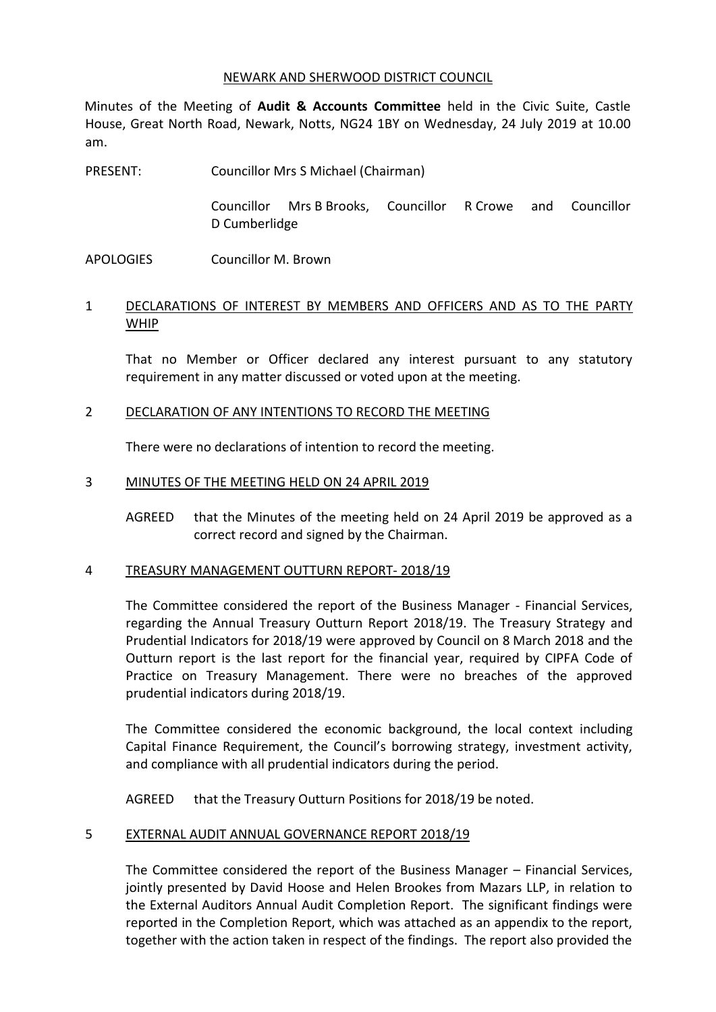#### NEWARK AND SHERWOOD DISTRICT COUNCIL

Minutes of the Meeting of **Audit & Accounts Committee** held in the Civic Suite, Castle House, Great North Road, Newark, Notts, NG24 1BY on Wednesday, 24 July 2019 at 10.00 am.

PRESENT: Councillor Mrs S Michael (Chairman)

> Councillor Mrs B Brooks, Councillor R Crowe and Councillor D Cumberlidge

APOLOGIES Councillor M. Brown

# 1 DECLARATIONS OF INTEREST BY MEMBERS AND OFFICERS AND AS TO THE PARTY WHIP

That no Member or Officer declared any interest pursuant to any statutory requirement in any matter discussed or voted upon at the meeting.

### 2 DECLARATION OF ANY INTENTIONS TO RECORD THE MEETING

There were no declarations of intention to record the meeting.

### 3 MINUTES OF THE MEETING HELD ON 24 APRIL 2019

AGREED that the Minutes of the meeting held on 24 April 2019 be approved as a correct record and signed by the Chairman.

### 4 TREASURY MANAGEMENT OUTTURN REPORT- 2018/19

The Committee considered the report of the Business Manager - Financial Services, regarding the Annual Treasury Outturn Report 2018/19. The Treasury Strategy and Prudential Indicators for 2018/19 were approved by Council on 8 March 2018 and the Outturn report is the last report for the financial year, required by CIPFA Code of Practice on Treasury Management. There were no breaches of the approved prudential indicators during 2018/19.

The Committee considered the economic background, the local context including Capital Finance Requirement, the Council's borrowing strategy, investment activity, and compliance with all prudential indicators during the period.

AGREED that the Treasury Outturn Positions for 2018/19 be noted.

### 5 EXTERNAL AUDIT ANNUAL GOVERNANCE REPORT 2018/19

The Committee considered the report of the Business Manager – Financial Services, jointly presented by David Hoose and Helen Brookes from Mazars LLP, in relation to the External Auditors Annual Audit Completion Report. The significant findings were reported in the Completion Report, which was attached as an appendix to the report, together with the action taken in respect of the findings. The report also provided the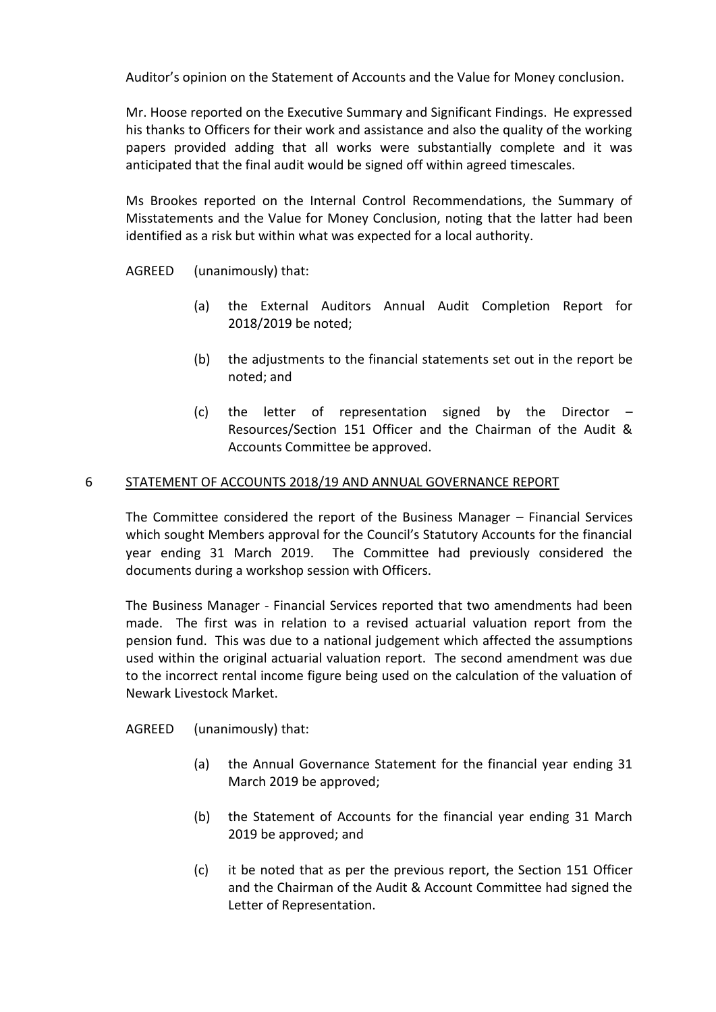Auditor's opinion on the Statement of Accounts and the Value for Money conclusion.

Mr. Hoose reported on the Executive Summary and Significant Findings. He expressed his thanks to Officers for their work and assistance and also the quality of the working papers provided adding that all works were substantially complete and it was anticipated that the final audit would be signed off within agreed timescales.

Ms Brookes reported on the Internal Control Recommendations, the Summary of Misstatements and the Value for Money Conclusion, noting that the latter had been identified as a risk but within what was expected for a local authority.

AGREED (unanimously) that:

- (a) the External Auditors Annual Audit Completion Report for 2018/2019 be noted;
- (b) the adjustments to the financial statements set out in the report be noted; and
- (c) the letter of representation signed by the Director Resources/Section 151 Officer and the Chairman of the Audit & Accounts Committee be approved.

## 6 STATEMENT OF ACCOUNTS 2018/19 AND ANNUAL GOVERNANCE REPORT

The Committee considered the report of the Business Manager – Financial Services which sought Members approval for the Council's Statutory Accounts for the financial year ending 31 March 2019. The Committee had previously considered the documents during a workshop session with Officers.

The Business Manager - Financial Services reported that two amendments had been made. The first was in relation to a revised actuarial valuation report from the pension fund. This was due to a national judgement which affected the assumptions used within the original actuarial valuation report. The second amendment was due to the incorrect rental income figure being used on the calculation of the valuation of Newark Livestock Market.

AGREED (unanimously) that:

- (a) the Annual Governance Statement for the financial year ending 31 March 2019 be approved;
- (b) the Statement of Accounts for the financial year ending 31 March 2019 be approved; and
- (c) it be noted that as per the previous report, the Section 151 Officer and the Chairman of the Audit & Account Committee had signed the Letter of Representation.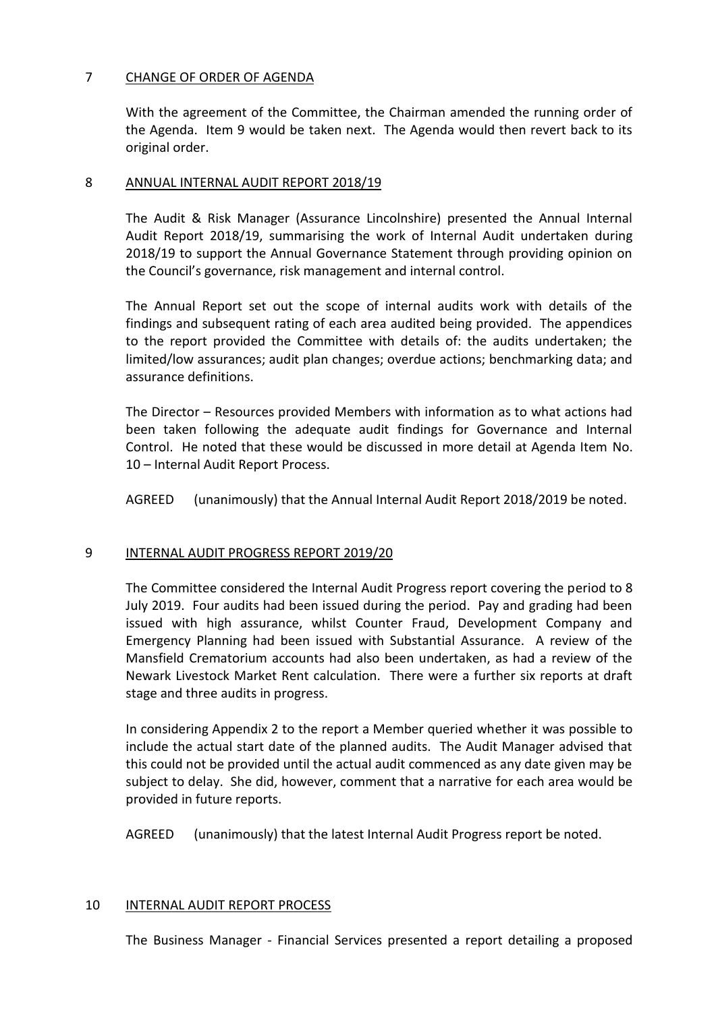## 7 CHANGE OF ORDER OF AGENDA

With the agreement of the Committee, the Chairman amended the running order of the Agenda. Item 9 would be taken next. The Agenda would then revert back to its original order.

### 8 ANNUAL INTERNAL AUDIT REPORT 2018/19

The Audit & Risk Manager (Assurance Lincolnshire) presented the Annual Internal Audit Report 2018/19, summarising the work of Internal Audit undertaken during 2018/19 to support the Annual Governance Statement through providing opinion on the Council's governance, risk management and internal control.

The Annual Report set out the scope of internal audits work with details of the findings and subsequent rating of each area audited being provided. The appendices to the report provided the Committee with details of: the audits undertaken; the limited/low assurances; audit plan changes; overdue actions; benchmarking data; and assurance definitions.

The Director – Resources provided Members with information as to what actions had been taken following the adequate audit findings for Governance and Internal Control. He noted that these would be discussed in more detail at Agenda Item No. 10 – Internal Audit Report Process.

AGREED (unanimously) that the Annual Internal Audit Report 2018/2019 be noted.

# 9 INTERNAL AUDIT PROGRESS REPORT 2019/20

The Committee considered the Internal Audit Progress report covering the period to 8 July 2019. Four audits had been issued during the period. Pay and grading had been issued with high assurance, whilst Counter Fraud, Development Company and Emergency Planning had been issued with Substantial Assurance. A review of the Mansfield Crematorium accounts had also been undertaken, as had a review of the Newark Livestock Market Rent calculation. There were a further six reports at draft stage and three audits in progress.

In considering Appendix 2 to the report a Member queried whether it was possible to include the actual start date of the planned audits. The Audit Manager advised that this could not be provided until the actual audit commenced as any date given may be subject to delay. She did, however, comment that a narrative for each area would be provided in future reports.

AGREED (unanimously) that the latest Internal Audit Progress report be noted.

### 10 INTERNAL AUDIT REPORT PROCESS

The Business Manager - Financial Services presented a report detailing a proposed